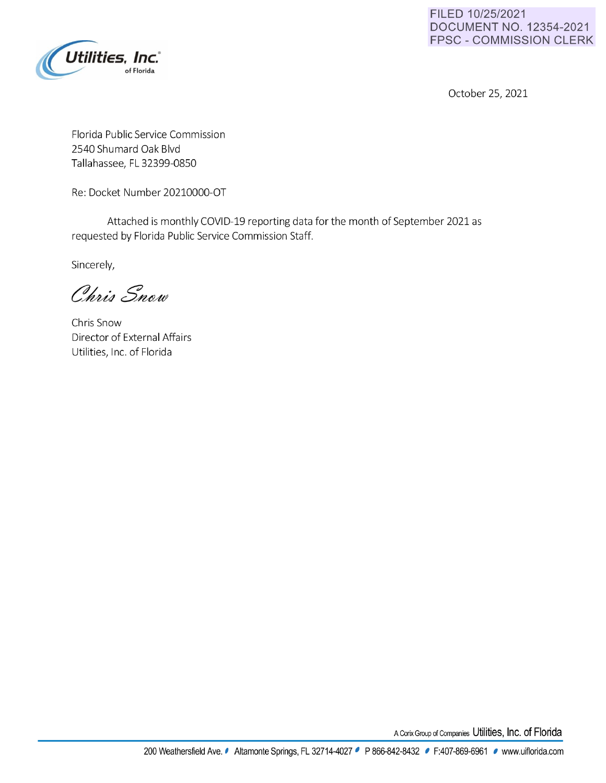

**FILED 10/25/2021 DOCUMENT NO. 12354-2021 FPSC** - **COMMISSION CLERK** 

October 25, 2021

Florida Public Service Commission 2540 Shumard Oak Blvd Tallahassee, FL 32399-0850

Re: Docket Number 20210000-OT

Attached is monthly COVID-19 reporting data for the month of September 2021 as requested by Florida Public Service Commission Staff.

Sincerely,

Chris Snow

Chris Snow Director of External Affairs Utilities, Inc. of Florida

A Corix Group of Companies Utilities, Inc. of Florida